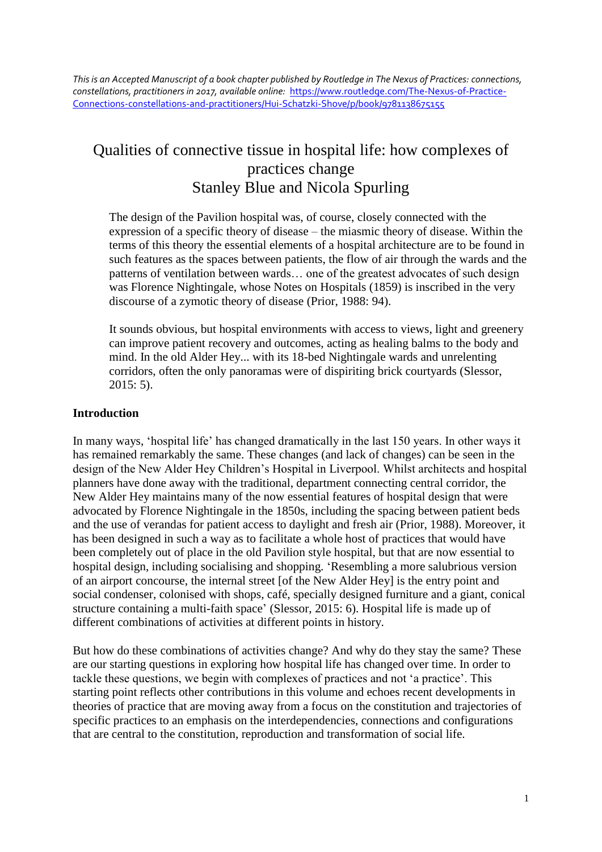*This is an Accepted Manuscript of a book chapter published by Routledge in The Nexus of Practices: connections, constellations, practitioners in 2017, available online:* [https://www.routledge.com/The-Nexus-of-Practice-](https://www.routledge.com/The-Nexus-of-Practice-Connections-constellations-and-practitioners/Hui-Schatzki-Shove/p/book/9781138675155)[Connections-constellations-and-practitioners/Hui-Schatzki-Shove/p/book/9781138675155](https://www.routledge.com/The-Nexus-of-Practice-Connections-constellations-and-practitioners/Hui-Schatzki-Shove/p/book/9781138675155)

# Qualities of connective tissue in hospital life: how complexes of practices change Stanley Blue and Nicola Spurling

The design of the Pavilion hospital was, of course, closely connected with the expression of a specific theory of disease – the miasmic theory of disease. Within the terms of this theory the essential elements of a hospital architecture are to be found in such features as the spaces between patients, the flow of air through the wards and the patterns of ventilation between wards… one of the greatest advocates of such design was Florence Nightingale, whose Notes on Hospitals (1859) is inscribed in the very discourse of a zymotic theory of disease (Prior, 1988: 94).

It sounds obvious, but hospital environments with access to views, light and greenery can improve patient recovery and outcomes, acting as healing balms to the body and mind. In the old Alder Hey... with its 18-bed Nightingale wards and unrelenting corridors, often the only panoramas were of dispiriting brick courtyards (Slessor, 2015: 5).

### **Introduction**

In many ways, 'hospital life' has changed dramatically in the last 150 years. In other ways it has remained remarkably the same. These changes (and lack of changes) can be seen in the design of the New Alder Hey Children's Hospital in Liverpool. Whilst architects and hospital planners have done away with the traditional, department connecting central corridor, the New Alder Hey maintains many of the now essential features of hospital design that were advocated by Florence Nightingale in the 1850s, including the spacing between patient beds and the use of verandas for patient access to daylight and fresh air (Prior, 1988). Moreover, it has been designed in such a way as to facilitate a whole host of practices that would have been completely out of place in the old Pavilion style hospital, but that are now essential to hospital design, including socialising and shopping. 'Resembling a more salubrious version of an airport concourse, the internal street [of the New Alder Hey] is the entry point and social condenser, colonised with shops, café, specially designed furniture and a giant, conical structure containing a multi-faith space' (Slessor, 2015: 6). Hospital life is made up of different combinations of activities at different points in history.

But how do these combinations of activities change? And why do they stay the same? These are our starting questions in exploring how hospital life has changed over time. In order to tackle these questions, we begin with complexes of practices and not 'a practice'. This starting point reflects other contributions in this volume and echoes recent developments in theories of practice that are moving away from a focus on the constitution and trajectories of specific practices to an emphasis on the interdependencies, connections and configurations that are central to the constitution, reproduction and transformation of social life.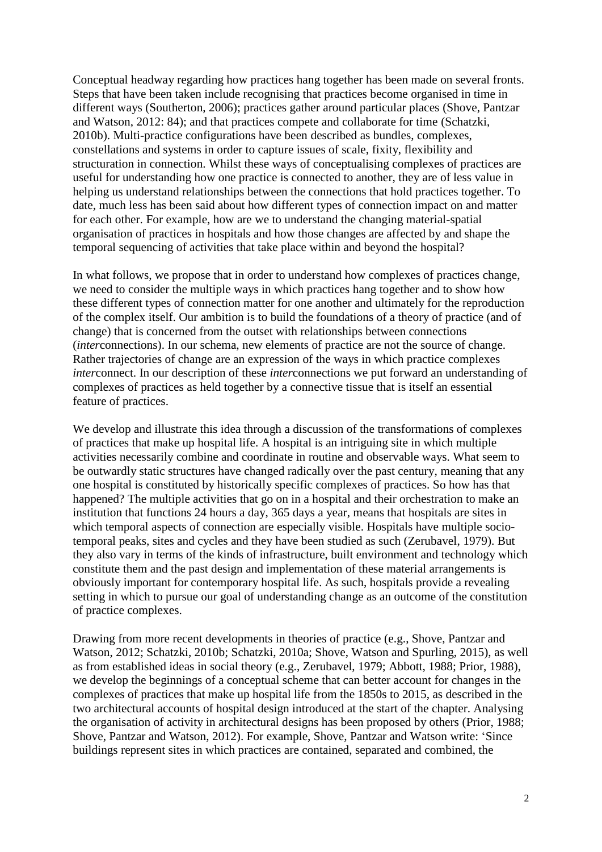Conceptual headway regarding how practices hang together has been made on several fronts. Steps that have been taken include recognising that practices become organised in time in different ways (Southerton, 2006); practices gather around particular places (Shove, Pantzar and Watson, 2012: 84); and that practices compete and collaborate for time (Schatzki, 2010b). Multi-practice configurations have been described as bundles, complexes, constellations and systems in order to capture issues of scale, fixity, flexibility and structuration in connection. Whilst these ways of conceptualising complexes of practices are useful for understanding how one practice is connected to another, they are of less value in helping us understand relationships between the connections that hold practices together. To date, much less has been said about how different types of connection impact on and matter for each other. For example, how are we to understand the changing material-spatial organisation of practices in hospitals and how those changes are affected by and shape the temporal sequencing of activities that take place within and beyond the hospital?

In what follows, we propose that in order to understand how complexes of practices change, we need to consider the multiple ways in which practices hang together and to show how these different types of connection matter for one another and ultimately for the reproduction of the complex itself. Our ambition is to build the foundations of a theory of practice (and of change) that is concerned from the outset with relationships between connections (*inter*connections). In our schema, new elements of practice are not the source of change. Rather trajectories of change are an expression of the ways in which practice complexes *inter*connect. In our description of these *inter*connections we put forward an understanding of complexes of practices as held together by a connective tissue that is itself an essential feature of practices.

We develop and illustrate this idea through a discussion of the transformations of complexes of practices that make up hospital life. A hospital is an intriguing site in which multiple activities necessarily combine and coordinate in routine and observable ways. What seem to be outwardly static structures have changed radically over the past century, meaning that any one hospital is constituted by historically specific complexes of practices. So how has that happened? The multiple activities that go on in a hospital and their orchestration to make an institution that functions 24 hours a day, 365 days a year, means that hospitals are sites in which temporal aspects of connection are especially visible. Hospitals have multiple sociotemporal peaks, sites and cycles and they have been studied as such (Zerubavel, 1979). But they also vary in terms of the kinds of infrastructure, built environment and technology which constitute them and the past design and implementation of these material arrangements is obviously important for contemporary hospital life. As such, hospitals provide a revealing setting in which to pursue our goal of understanding change as an outcome of the constitution of practice complexes.

Drawing from more recent developments in theories of practice (e.g., Shove, Pantzar and Watson, 2012; Schatzki, 2010b; Schatzki, 2010a; Shove, Watson and Spurling, 2015), as well as from established ideas in social theory (e.g., Zerubavel, 1979; Abbott, 1988; Prior, 1988), we develop the beginnings of a conceptual scheme that can better account for changes in the complexes of practices that make up hospital life from the 1850s to 2015, as described in the two architectural accounts of hospital design introduced at the start of the chapter. Analysing the organisation of activity in architectural designs has been proposed by others (Prior, 1988; Shove, Pantzar and Watson, 2012). For example, Shove, Pantzar and Watson write: 'Since buildings represent sites in which practices are contained, separated and combined, the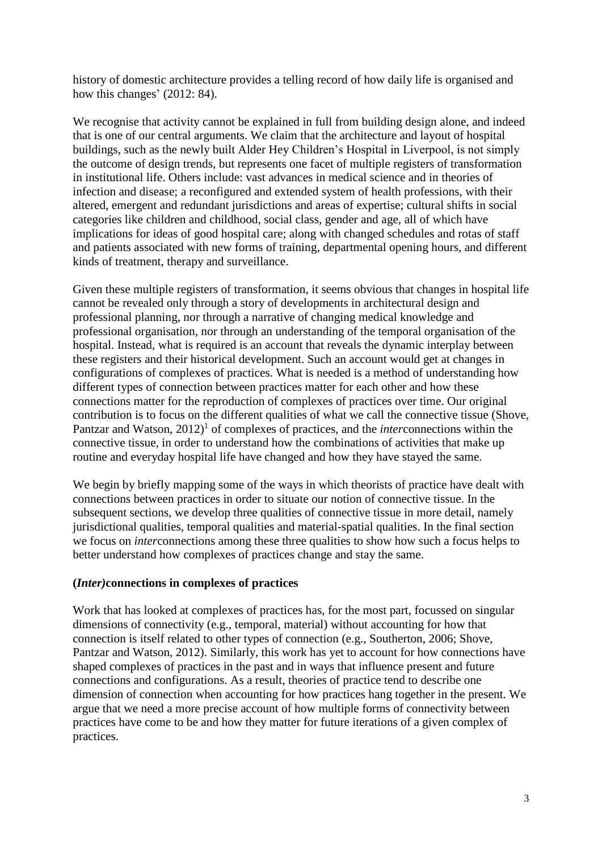history of domestic architecture provides a telling record of how daily life is organised and how this changes' (2012: 84).

We recognise that activity cannot be explained in full from building design alone, and indeed that is one of our central arguments. We claim that the architecture and layout of hospital buildings, such as the newly built Alder Hey Children's Hospital in Liverpool, is not simply the outcome of design trends, but represents one facet of multiple registers of transformation in institutional life. Others include: vast advances in medical science and in theories of infection and disease; a reconfigured and extended system of health professions, with their altered, emergent and redundant jurisdictions and areas of expertise; cultural shifts in social categories like children and childhood, social class, gender and age, all of which have implications for ideas of good hospital care; along with changed schedules and rotas of staff and patients associated with new forms of training, departmental opening hours, and different kinds of treatment, therapy and surveillance.

Given these multiple registers of transformation, it seems obvious that changes in hospital life cannot be revealed only through a story of developments in architectural design and professional planning, nor through a narrative of changing medical knowledge and professional organisation, nor through an understanding of the temporal organisation of the hospital. Instead, what is required is an account that reveals the dynamic interplay between these registers and their historical development. Such an account would get at changes in configurations of complexes of practices. What is needed is a method of understanding how different types of connection between practices matter for each other and how these connections matter for the reproduction of complexes of practices over time. Our original contribution is to focus on the different qualities of what we call the connective tissue (Shove, Pantzar and Watson, 2012)<sup>1</sup> of complexes of practices, and the *interconnections* within the connective tissue, in order to understand how the combinations of activities that make up routine and everyday hospital life have changed and how they have stayed the same.

We begin by briefly mapping some of the ways in which theorists of practice have dealt with connections between practices in order to situate our notion of connective tissue. In the subsequent sections, we develop three qualities of connective tissue in more detail, namely jurisdictional qualities, temporal qualities and material-spatial qualities. In the final section we focus on *inter*connections among these three qualities to show how such a focus helps to better understand how complexes of practices change and stay the same.

#### **(***Inter)***connections in complexes of practices**

Work that has looked at complexes of practices has, for the most part, focussed on singular dimensions of connectivity (e.g., temporal, material) without accounting for how that connection is itself related to other types of connection (e.g., Southerton, 2006; Shove, Pantzar and Watson, 2012). Similarly, this work has yet to account for how connections have shaped complexes of practices in the past and in ways that influence present and future connections and configurations. As a result, theories of practice tend to describe one dimension of connection when accounting for how practices hang together in the present. We argue that we need a more precise account of how multiple forms of connectivity between practices have come to be and how they matter for future iterations of a given complex of practices.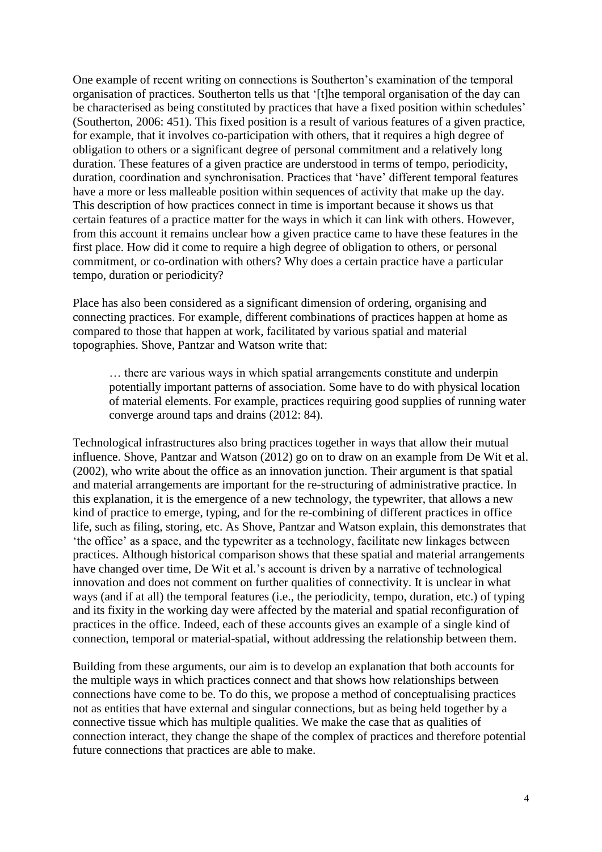One example of recent writing on connections is Southerton's examination of the temporal organisation of practices. Southerton tells us that '[t]he temporal organisation of the day can be characterised as being constituted by practices that have a fixed position within schedules' (Southerton, 2006: 451). This fixed position is a result of various features of a given practice, for example, that it involves co-participation with others, that it requires a high degree of obligation to others or a significant degree of personal commitment and a relatively long duration. These features of a given practice are understood in terms of tempo, periodicity, duration, coordination and synchronisation. Practices that 'have' different temporal features have a more or less malleable position within sequences of activity that make up the day. This description of how practices connect in time is important because it shows us that certain features of a practice matter for the ways in which it can link with others. However, from this account it remains unclear how a given practice came to have these features in the first place. How did it come to require a high degree of obligation to others, or personal commitment, or co-ordination with others? Why does a certain practice have a particular tempo, duration or periodicity?

Place has also been considered as a significant dimension of ordering, organising and connecting practices. For example, different combinations of practices happen at home as compared to those that happen at work, facilitated by various spatial and material topographies. Shove, Pantzar and Watson write that:

… there are various ways in which spatial arrangements constitute and underpin potentially important patterns of association. Some have to do with physical location of material elements. For example, practices requiring good supplies of running water converge around taps and drains (2012: 84).

Technological infrastructures also bring practices together in ways that allow their mutual influence. Shove, Pantzar and Watson (2012) go on to draw on an example from De Wit et al. (2002), who write about the office as an innovation junction. Their argument is that spatial and material arrangements are important for the re-structuring of administrative practice. In this explanation, it is the emergence of a new technology, the typewriter, that allows a new kind of practice to emerge, typing, and for the re-combining of different practices in office life, such as filing, storing, etc. As Shove, Pantzar and Watson explain, this demonstrates that 'the office' as a space, and the typewriter as a technology, facilitate new linkages between practices. Although historical comparison shows that these spatial and material arrangements have changed over time, De Wit et al.'s account is driven by a narrative of technological innovation and does not comment on further qualities of connectivity. It is unclear in what ways (and if at all) the temporal features (i.e., the periodicity, tempo, duration, etc.) of typing and its fixity in the working day were affected by the material and spatial reconfiguration of practices in the office. Indeed, each of these accounts gives an example of a single kind of connection, temporal or material-spatial, without addressing the relationship between them.

Building from these arguments, our aim is to develop an explanation that both accounts for the multiple ways in which practices connect and that shows how relationships between connections have come to be. To do this, we propose a method of conceptualising practices not as entities that have external and singular connections, but as being held together by a connective tissue which has multiple qualities. We make the case that as qualities of connection interact, they change the shape of the complex of practices and therefore potential future connections that practices are able to make.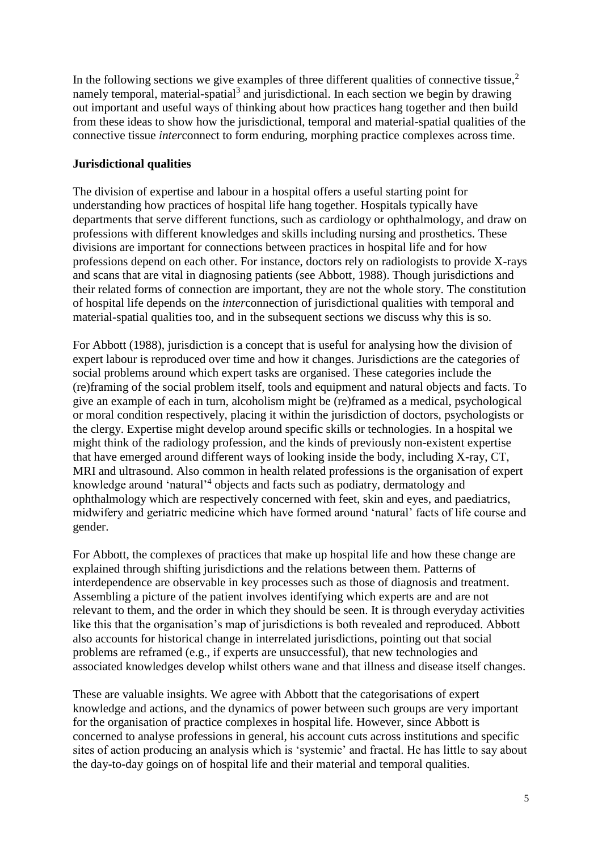In the following sections we give examples of three different qualities of connective tissue, $2$ namely temporal, material-spatial<sup>3</sup> and jurisdictional. In each section we begin by drawing out important and useful ways of thinking about how practices hang together and then build from these ideas to show how the jurisdictional, temporal and material-spatial qualities of the connective tissue *inter*connect to form enduring, morphing practice complexes across time.

### **Jurisdictional qualities**

The division of expertise and labour in a hospital offers a useful starting point for understanding how practices of hospital life hang together. Hospitals typically have departments that serve different functions, such as cardiology or ophthalmology, and draw on professions with different knowledges and skills including nursing and prosthetics. These divisions are important for connections between practices in hospital life and for how professions depend on each other. For instance, doctors rely on radiologists to provide X-rays and scans that are vital in diagnosing patients (see Abbott, 1988). Though jurisdictions and their related forms of connection are important, they are not the whole story. The constitution of hospital life depends on the *inter*connection of jurisdictional qualities with temporal and material-spatial qualities too, and in the subsequent sections we discuss why this is so.

For Abbott (1988), jurisdiction is a concept that is useful for analysing how the division of expert labour is reproduced over time and how it changes. Jurisdictions are the categories of social problems around which expert tasks are organised. These categories include the (re)framing of the social problem itself, tools and equipment and natural objects and facts. To give an example of each in turn, alcoholism might be (re)framed as a medical, psychological or moral condition respectively, placing it within the jurisdiction of doctors, psychologists or the clergy. Expertise might develop around specific skills or technologies. In a hospital we might think of the radiology profession, and the kinds of previously non-existent expertise that have emerged around different ways of looking inside the body, including X-ray, CT, MRI and ultrasound. Also common in health related professions is the organisation of expert knowledge around 'natural'<sup>4</sup> objects and facts such as podiatry, dermatology and ophthalmology which are respectively concerned with feet, skin and eyes, and paediatrics, midwifery and geriatric medicine which have formed around 'natural' facts of life course and gender.

For Abbott, the complexes of practices that make up hospital life and how these change are explained through shifting jurisdictions and the relations between them. Patterns of interdependence are observable in key processes such as those of diagnosis and treatment. Assembling a picture of the patient involves identifying which experts are and are not relevant to them, and the order in which they should be seen. It is through everyday activities like this that the organisation's map of jurisdictions is both revealed and reproduced. Abbott also accounts for historical change in interrelated jurisdictions, pointing out that social problems are reframed (e.g., if experts are unsuccessful), that new technologies and associated knowledges develop whilst others wane and that illness and disease itself changes.

These are valuable insights. We agree with Abbott that the categorisations of expert knowledge and actions, and the dynamics of power between such groups are very important for the organisation of practice complexes in hospital life. However, since Abbott is concerned to analyse professions in general, his account cuts across institutions and specific sites of action producing an analysis which is 'systemic' and fractal. He has little to say about the day-to-day goings on of hospital life and their material and temporal qualities.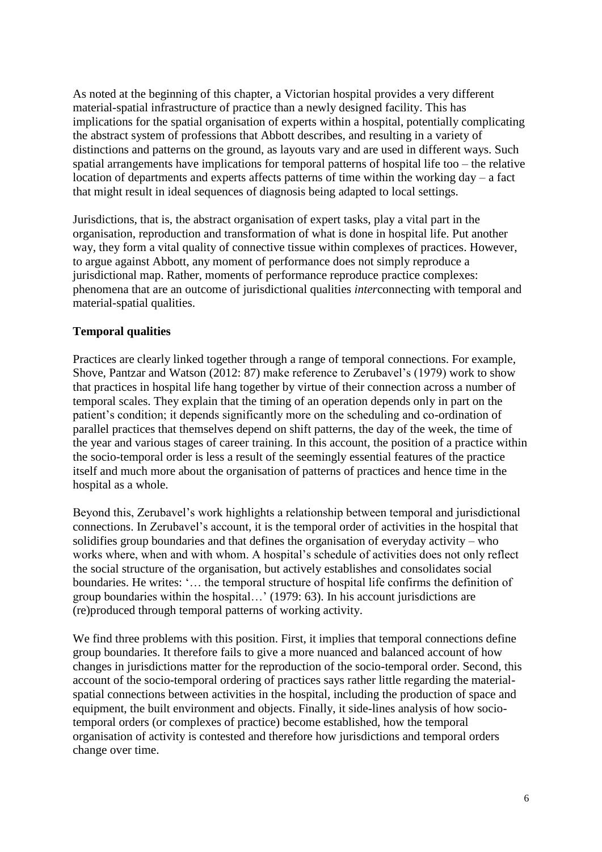As noted at the beginning of this chapter, a Victorian hospital provides a very different material-spatial infrastructure of practice than a newly designed facility. This has implications for the spatial organisation of experts within a hospital, potentially complicating the abstract system of professions that Abbott describes, and resulting in a variety of distinctions and patterns on the ground, as layouts vary and are used in different ways. Such spatial arrangements have implications for temporal patterns of hospital life too – the relative location of departments and experts affects patterns of time within the working day – a fact that might result in ideal sequences of diagnosis being adapted to local settings.

Jurisdictions, that is, the abstract organisation of expert tasks, play a vital part in the organisation, reproduction and transformation of what is done in hospital life. Put another way, they form a vital quality of connective tissue within complexes of practices. However, to argue against Abbott, any moment of performance does not simply reproduce a jurisdictional map. Rather, moments of performance reproduce practice complexes: phenomena that are an outcome of jurisdictional qualities *inter*connecting with temporal and material-spatial qualities.

### **Temporal qualities**

Practices are clearly linked together through a range of temporal connections. For example, Shove, Pantzar and Watson (2012: 87) make reference to Zerubavel's (1979) work to show that practices in hospital life hang together by virtue of their connection across a number of temporal scales. They explain that the timing of an operation depends only in part on the patient's condition; it depends significantly more on the scheduling and co-ordination of parallel practices that themselves depend on shift patterns, the day of the week, the time of the year and various stages of career training. In this account, the position of a practice within the socio-temporal order is less a result of the seemingly essential features of the practice itself and much more about the organisation of patterns of practices and hence time in the hospital as a whole.

Beyond this, Zerubavel's work highlights a relationship between temporal and jurisdictional connections. In Zerubavel's account, it is the temporal order of activities in the hospital that solidifies group boundaries and that defines the organisation of everyday activity – who works where, when and with whom. A hospital's schedule of activities does not only reflect the social structure of the organisation, but actively establishes and consolidates social boundaries. He writes: '… the temporal structure of hospital life confirms the definition of group boundaries within the hospital…' (1979: 63). In his account jurisdictions are (re)produced through temporal patterns of working activity.

We find three problems with this position. First, it implies that temporal connections define group boundaries. It therefore fails to give a more nuanced and balanced account of how changes in jurisdictions matter for the reproduction of the socio-temporal order. Second, this account of the socio-temporal ordering of practices says rather little regarding the materialspatial connections between activities in the hospital, including the production of space and equipment, the built environment and objects. Finally, it side-lines analysis of how sociotemporal orders (or complexes of practice) become established, how the temporal organisation of activity is contested and therefore how jurisdictions and temporal orders change over time.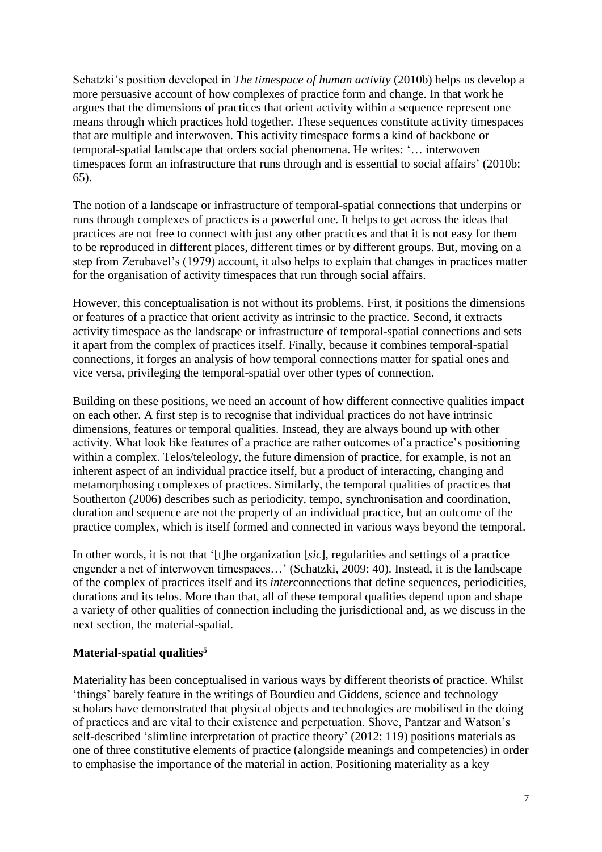Schatzki's position developed in *The timespace of human activity* (2010b) helps us develop a more persuasive account of how complexes of practice form and change. In that work he argues that the dimensions of practices that orient activity within a sequence represent one means through which practices hold together. These sequences constitute activity timespaces that are multiple and interwoven. This activity timespace forms a kind of backbone or temporal-spatial landscape that orders social phenomena. He writes: '… interwoven timespaces form an infrastructure that runs through and is essential to social affairs' (2010b: 65).

The notion of a landscape or infrastructure of temporal-spatial connections that underpins or runs through complexes of practices is a powerful one. It helps to get across the ideas that practices are not free to connect with just any other practices and that it is not easy for them to be reproduced in different places, different times or by different groups. But, moving on a step from Zerubavel's (1979) account, it also helps to explain that changes in practices matter for the organisation of activity timespaces that run through social affairs.

However, this conceptualisation is not without its problems. First, it positions the dimensions or features of a practice that orient activity as intrinsic to the practice. Second, it extracts activity timespace as the landscape or infrastructure of temporal-spatial connections and sets it apart from the complex of practices itself. Finally, because it combines temporal-spatial connections, it forges an analysis of how temporal connections matter for spatial ones and vice versa, privileging the temporal-spatial over other types of connection.

Building on these positions, we need an account of how different connective qualities impact on each other. A first step is to recognise that individual practices do not have intrinsic dimensions, features or temporal qualities. Instead, they are always bound up with other activity. What look like features of a practice are rather outcomes of a practice's positioning within a complex. Telos/teleology, the future dimension of practice, for example, is not an inherent aspect of an individual practice itself, but a product of interacting, changing and metamorphosing complexes of practices. Similarly, the temporal qualities of practices that Southerton (2006) describes such as periodicity, tempo, synchronisation and coordination, duration and sequence are not the property of an individual practice, but an outcome of the practice complex, which is itself formed and connected in various ways beyond the temporal.

In other words, it is not that '[t]he organization [*sic*], regularities and settings of a practice engender a net of interwoven timespaces…' (Schatzki, 2009: 40). Instead, it is the landscape of the complex of practices itself and its *inter*connections that define sequences, periodicities, durations and its telos. More than that, all of these temporal qualities depend upon and shape a variety of other qualities of connection including the jurisdictional and, as we discuss in the next section, the material-spatial.

## **Material-spatial qualities<sup>5</sup>**

Materiality has been conceptualised in various ways by different theorists of practice. Whilst 'things' barely feature in the writings of Bourdieu and Giddens, science and technology scholars have demonstrated that physical objects and technologies are mobilised in the doing of practices and are vital to their existence and perpetuation. Shove, Pantzar and Watson's self-described 'slimline interpretation of practice theory' (2012: 119) positions materials as one of three constitutive elements of practice (alongside meanings and competencies) in order to emphasise the importance of the material in action. Positioning materiality as a key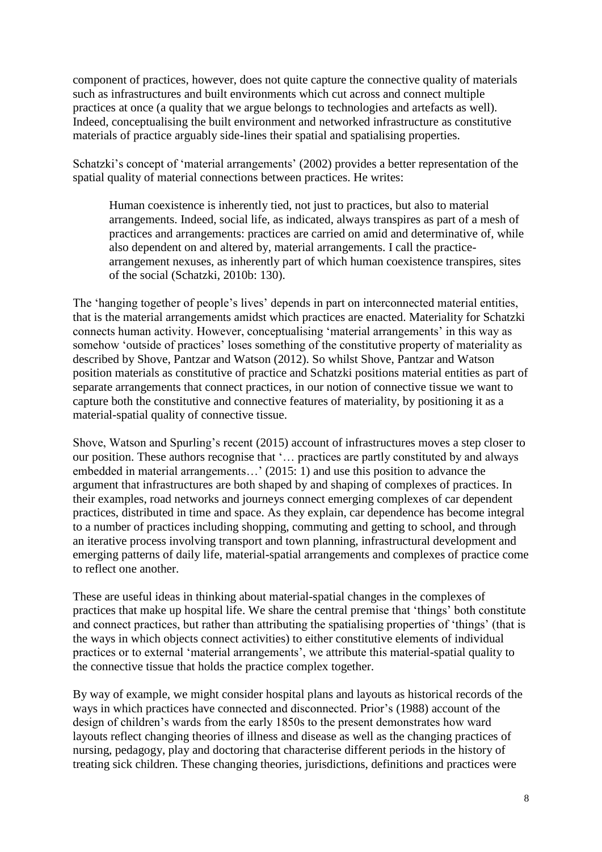component of practices, however, does not quite capture the connective quality of materials such as infrastructures and built environments which cut across and connect multiple practices at once (a quality that we argue belongs to technologies and artefacts as well). Indeed, conceptualising the built environment and networked infrastructure as constitutive materials of practice arguably side-lines their spatial and spatialising properties.

Schatzki's concept of 'material arrangements' (2002) provides a better representation of the spatial quality of material connections between practices. He writes:

Human coexistence is inherently tied, not just to practices, but also to material arrangements. Indeed, social life, as indicated, always transpires as part of a mesh of practices and arrangements: practices are carried on amid and determinative of, while also dependent on and altered by, material arrangements. I call the practicearrangement nexuses, as inherently part of which human coexistence transpires, sites of the social (Schatzki, 2010b: 130).

The 'hanging together of people's lives' depends in part on interconnected material entities, that is the material arrangements amidst which practices are enacted. Materiality for Schatzki connects human activity. However, conceptualising 'material arrangements' in this way as somehow 'outside of practices' loses something of the constitutive property of materiality as described by Shove, Pantzar and Watson (2012). So whilst Shove, Pantzar and Watson position materials as constitutive of practice and Schatzki positions material entities as part of separate arrangements that connect practices, in our notion of connective tissue we want to capture both the constitutive and connective features of materiality, by positioning it as a material-spatial quality of connective tissue.

Shove, Watson and Spurling's recent (2015) account of infrastructures moves a step closer to our position. These authors recognise that '… practices are partly constituted by and always embedded in material arrangements…' (2015: 1) and use this position to advance the argument that infrastructures are both shaped by and shaping of complexes of practices. In their examples, road networks and journeys connect emerging complexes of car dependent practices, distributed in time and space. As they explain, car dependence has become integral to a number of practices including shopping, commuting and getting to school, and through an iterative process involving transport and town planning, infrastructural development and emerging patterns of daily life, material-spatial arrangements and complexes of practice come to reflect one another.

These are useful ideas in thinking about material-spatial changes in the complexes of practices that make up hospital life. We share the central premise that 'things' both constitute and connect practices, but rather than attributing the spatialising properties of 'things' (that is the ways in which objects connect activities) to either constitutive elements of individual practices or to external 'material arrangements', we attribute this material-spatial quality to the connective tissue that holds the practice complex together.

By way of example, we might consider hospital plans and layouts as historical records of the ways in which practices have connected and disconnected. Prior's (1988) account of the design of children's wards from the early 1850s to the present demonstrates how ward layouts reflect changing theories of illness and disease as well as the changing practices of nursing, pedagogy, play and doctoring that characterise different periods in the history of treating sick children. These changing theories, jurisdictions, definitions and practices were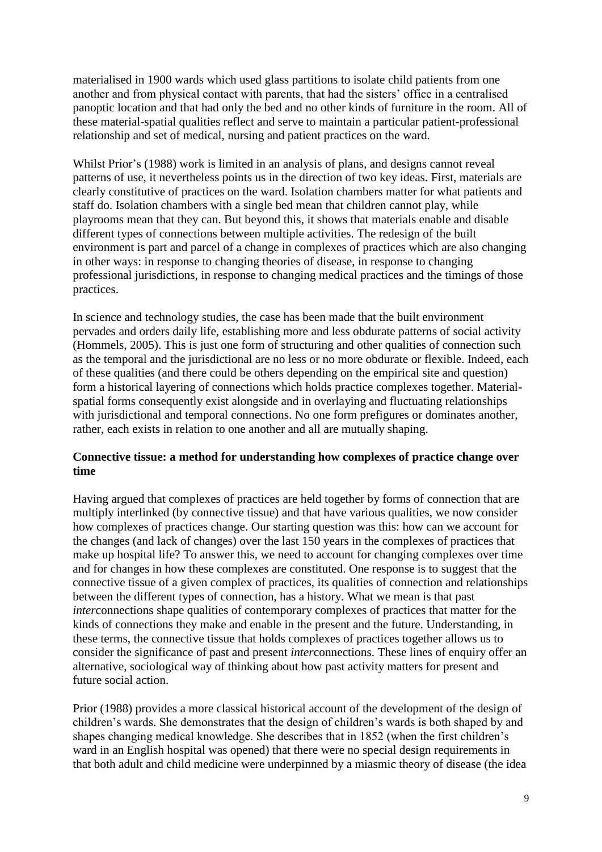materialised in 1900 wards which used glass partitions to isolate child patients from one another and from physical contact with parents, that had the sisters' office in a centralised panoptic location and that had only the bed and no other kinds of furniture in the room. All of these material-spatial qualities reflect and serve to maintain a particular patient-professional relationship and set of medical, nursing and patient practices on the ward.

Whilst Prior's (1988) work is limited in an analysis of plans, and designs cannot reveal patterns of use, it nevertheless points us in the direction of two key ideas. First, materials are clearly constitutive of practices on the ward. Isolation chambers matter for what patients and staff do. Isolation chambers with a single bed mean that children cannot play, while playrooms mean that they can. But beyond this, it shows that materials enable and disable different types of connections between multiple activities. The redesign of the built environment is part and parcel of a change in complexes of practices which are also changing in other ways: in response to changing theories of disease, in response to changing professional jurisdictions, in response to changing medical practices and the timings of those practices.

In science and technology studies, the case has been made that the built environment pervades and orders daily life, establishing more and less obdurate patterns of social activity (Hommels, 2005). This is just one form of structuring and other qualities of connection such as the temporal and the jurisdictional are no less or no more obdurate or flexible. Indeed, each of these qualities (and there could be others depending on the empirical site and question) form a historical layering of connections which holds practice complexes together. Materialspatial forms consequently exist alongside and in overlaying and fluctuating relationships with jurisdictional and temporal connections. No one form prefigures or dominates another, rather, each exists in relation to one another and all are mutually shaping.

## **Connective tissue: a method for understanding how complexes of practice change over time**

Having argued that complexes of practices are held together by forms of connection that are multiply interlinked (by connective tissue) and that have various qualities, we now consider how complexes of practices change. Our starting question was this: how can we account for the changes (and lack of changes) over the last 150 years in the complexes of practices that make up hospital life? To answer this, we need to account for changing complexes over time and for changes in how these complexes are constituted. One response is to suggest that the connective tissue of a given complex of practices, its qualities of connection and relationships between the different types of connection, has a history. What we mean is that past *inter*connections shape qualities of contemporary complexes of practices that matter for the kinds of connections they make and enable in the present and the future. Understanding, in these terms, the connective tissue that holds complexes of practices together allows us to consider the significance of past and present *inter*connections. These lines of enquiry offer an alternative, sociological way of thinking about how past activity matters for present and future social action.

Prior (1988) provides a more classical historical account of the development of the design of children's wards. She demonstrates that the design of children's wards is both shaped by and shapes changing medical knowledge. She describes that in 1852 (when the first children's ward in an English hospital was opened) that there were no special design requirements in that both adult and child medicine were underpinned by a miasmic theory of disease (the idea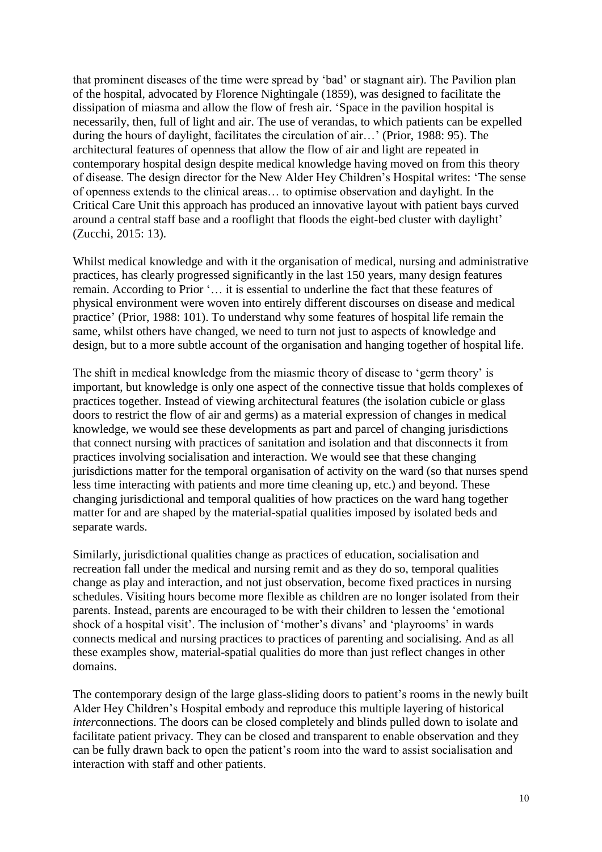that prominent diseases of the time were spread by 'bad' or stagnant air). The Pavilion plan of the hospital, advocated by Florence Nightingale (1859), was designed to facilitate the dissipation of miasma and allow the flow of fresh air. 'Space in the pavilion hospital is necessarily, then, full of light and air. The use of verandas, to which patients can be expelled during the hours of daylight, facilitates the circulation of air…' (Prior, 1988: 95). The architectural features of openness that allow the flow of air and light are repeated in contemporary hospital design despite medical knowledge having moved on from this theory of disease. The design director for the New Alder Hey Children's Hospital writes: 'The sense of openness extends to the clinical areas… to optimise observation and daylight. In the Critical Care Unit this approach has produced an innovative layout with patient bays curved around a central staff base and a rooflight that floods the eight-bed cluster with daylight' (Zucchi, 2015: 13).

Whilst medical knowledge and with it the organisation of medical, nursing and administrative practices, has clearly progressed significantly in the last 150 years, many design features remain. According to Prior '… it is essential to underline the fact that these features of physical environment were woven into entirely different discourses on disease and medical practice' (Prior, 1988: 101). To understand why some features of hospital life remain the same, whilst others have changed, we need to turn not just to aspects of knowledge and design, but to a more subtle account of the organisation and hanging together of hospital life.

The shift in medical knowledge from the miasmic theory of disease to 'germ theory' is important, but knowledge is only one aspect of the connective tissue that holds complexes of practices together. Instead of viewing architectural features (the isolation cubicle or glass doors to restrict the flow of air and germs) as a material expression of changes in medical knowledge, we would see these developments as part and parcel of changing jurisdictions that connect nursing with practices of sanitation and isolation and that disconnects it from practices involving socialisation and interaction. We would see that these changing jurisdictions matter for the temporal organisation of activity on the ward (so that nurses spend less time interacting with patients and more time cleaning up, etc.) and beyond. These changing jurisdictional and temporal qualities of how practices on the ward hang together matter for and are shaped by the material-spatial qualities imposed by isolated beds and separate wards.

Similarly, jurisdictional qualities change as practices of education, socialisation and recreation fall under the medical and nursing remit and as they do so, temporal qualities change as play and interaction, and not just observation, become fixed practices in nursing schedules. Visiting hours become more flexible as children are no longer isolated from their parents. Instead, parents are encouraged to be with their children to lessen the 'emotional shock of a hospital visit'. The inclusion of 'mother's divans' and 'playrooms' in wards connects medical and nursing practices to practices of parenting and socialising. And as all these examples show, material-spatial qualities do more than just reflect changes in other domains.

The contemporary design of the large glass-sliding doors to patient's rooms in the newly built Alder Hey Children's Hospital embody and reproduce this multiple layering of historical *inter*connections. The doors can be closed completely and blinds pulled down to isolate and facilitate patient privacy. They can be closed and transparent to enable observation and they can be fully drawn back to open the patient's room into the ward to assist socialisation and interaction with staff and other patients.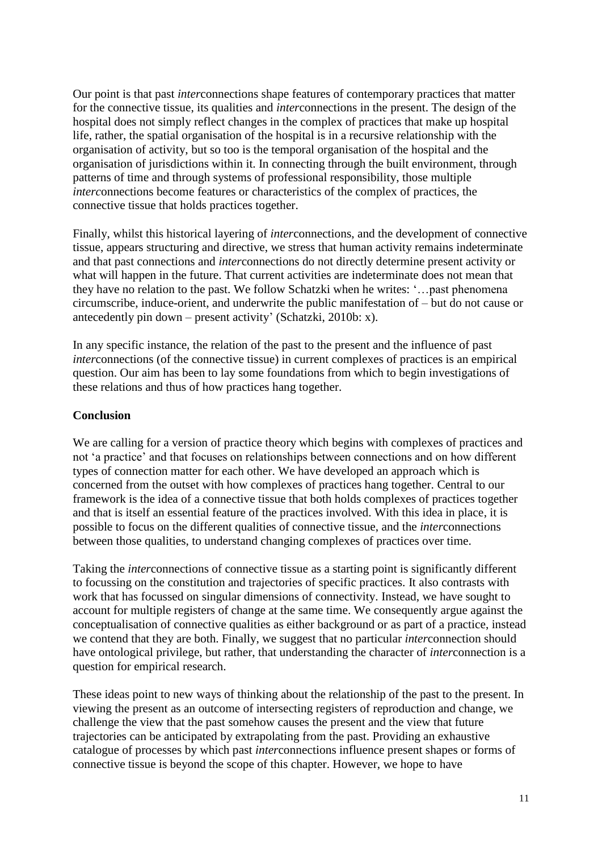Our point is that past *inter*connections shape features of contemporary practices that matter for the connective tissue, its qualities and *inter*connections in the present. The design of the hospital does not simply reflect changes in the complex of practices that make up hospital life, rather, the spatial organisation of the hospital is in a recursive relationship with the organisation of activity, but so too is the temporal organisation of the hospital and the organisation of jurisdictions within it. In connecting through the built environment, through patterns of time and through systems of professional responsibility, those multiple *interc*onnections become features or characteristics of the complex of practices, the connective tissue that holds practices together.

Finally, whilst this historical layering of *inter*connections, and the development of connective tissue, appears structuring and directive, we stress that human activity remains indeterminate and that past connections and *inter*connections do not directly determine present activity or what will happen in the future. That current activities are indeterminate does not mean that they have no relation to the past. We follow Schatzki when he writes: '…past phenomena circumscribe, induce-orient, and underwrite the public manifestation of – but do not cause or antecedently pin down – present activity' (Schatzki, 2010b: x).

In any specific instance, the relation of the past to the present and the influence of past *inter*connections (of the connective tissue) in current complexes of practices is an empirical question. Our aim has been to lay some foundations from which to begin investigations of these relations and thus of how practices hang together.

### **Conclusion**

We are calling for a version of practice theory which begins with complexes of practices and not 'a practice' and that focuses on relationships between connections and on how different types of connection matter for each other. We have developed an approach which is concerned from the outset with how complexes of practices hang together. Central to our framework is the idea of a connective tissue that both holds complexes of practices together and that is itself an essential feature of the practices involved. With this idea in place, it is possible to focus on the different qualities of connective tissue, and the *inter*connections between those qualities, to understand changing complexes of practices over time.

Taking the *inter*connections of connective tissue as a starting point is significantly different to focussing on the constitution and trajectories of specific practices. It also contrasts with work that has focussed on singular dimensions of connectivity. Instead, we have sought to account for multiple registers of change at the same time. We consequently argue against the conceptualisation of connective qualities as either background or as part of a practice, instead we contend that they are both. Finally, we suggest that no particular *inter*connection should have ontological privilege, but rather, that understanding the character of *inter*connection is a question for empirical research.

These ideas point to new ways of thinking about the relationship of the past to the present. In viewing the present as an outcome of intersecting registers of reproduction and change, we challenge the view that the past somehow causes the present and the view that future trajectories can be anticipated by extrapolating from the past. Providing an exhaustive catalogue of processes by which past *inter*connections influence present shapes or forms of connective tissue is beyond the scope of this chapter. However, we hope to have